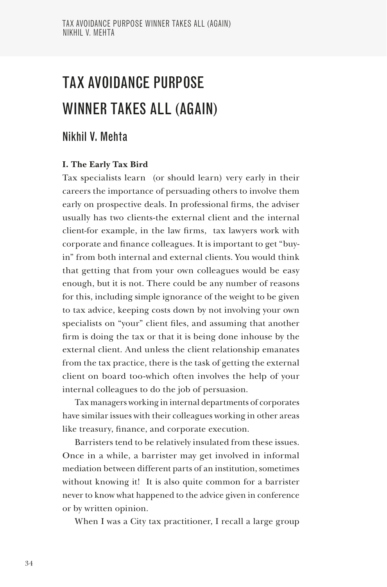# TAX AVOIDANCE PURPOSE WINNER TAKES ALL (AGAIN)

# Nikhil V. Mehta

# **I. The Early Tax Bird**

Tax specialists learn (or should learn) very early in their careers the importance of persuading others to involve them early on prospective deals. In professional firms, the adviser usually has two clients-the external client and the internal client-for example, in the law firms, tax lawyers work with corporate and finance colleagues. It is important to get "buyin" from both internal and external clients. You would think that getting that from your own colleagues would be easy enough, but it is not. There could be any number of reasons for this, including simple ignorance of the weight to be given to tax advice, keeping costs down by not involving your own specialists on "your" client files, and assuming that another firm is doing the tax or that it is being done inhouse by the external client. And unless the client relationship emanates from the tax practice, there is the task of getting the external client on board too-which often involves the help of your internal colleagues to do the job of persuasion.

Tax managers working in internal departments of corporates have similar issues with their colleagues working in other areas like treasury, finance, and corporate execution.

Barristers tend to be relatively insulated from these issues. Once in a while, a barrister may get involved in informal mediation between different parts of an institution, sometimes without knowing it! It is also quite common for a barrister never to know what happened to the advice given in conference or by written opinion.

When I was a City tax practitioner, I recall a large group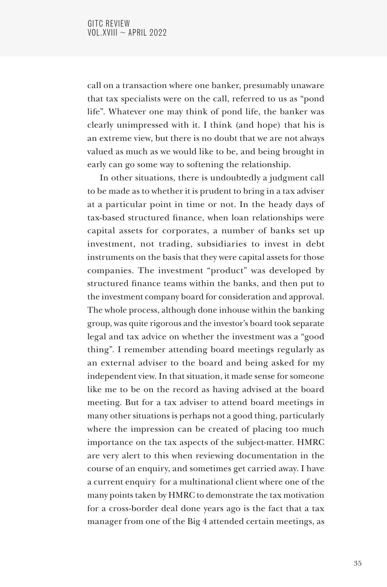call on a transaction where one banker, presumably unaware that tax specialists were on the call, referred to us as "pond life". Whatever one may think of pond life, the banker was clearly unimpressed with it. I think (and hope) that his is an extreme view, but there is no doubt that we are not always valued as much as we would like to be, and being brought in early can go some way to softening the relationship.

In other situations, there is undoubtedly a judgment call to be made as to whether it is prudent to bring in a tax adviser at a particular point in time or not. In the heady days of tax-based structured finance, when loan relationships were capital assets for corporates, a number of banks set up investment, not trading, subsidiaries to invest in debt instruments on the basis that they were capital assets for those companies. The investment "product" was developed by structured finance teams within the banks, and then put to the investment company board for consideration and approval. The whole process, although done inhouse within the banking group, was quite rigorous and the investor's board took separate legal and tax advice on whether the investment was a "good thing". I remember attending board meetings regularly as an external adviser to the board and being asked for my independent view. In that situation, it made sense for someone like me to be on the record as having advised at the board meeting. But for a tax adviser to attend board meetings in many other situations is perhaps not a good thing, particularly where the impression can be created of placing too much importance on the tax aspects of the subject-matter. HMRC are very alert to this when reviewing documentation in the course of an enquiry, and sometimes get carried away. I have a current enquiry for a multinational client where one of the many points taken by HMRC to demonstrate the tax motivation for a cross-border deal done years ago is the fact that a tax manager from one of the Big 4 attended certain meetings, as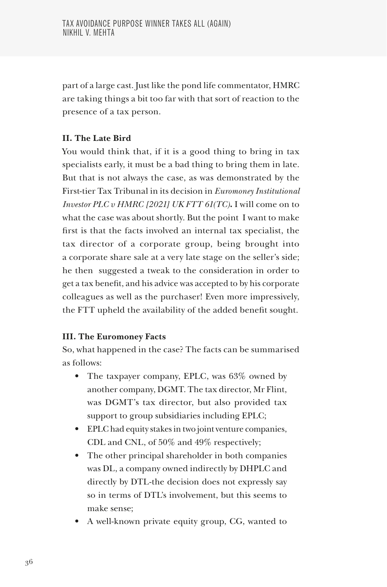part of a large cast. Just like the pond life commentator, HMRC are taking things a bit too far with that sort of reaction to the presence of a tax person.

# **II. The Late Bird**

You would think that, if it is a good thing to bring in tax specialists early, it must be a bad thing to bring them in late. But that is not always the case, as was demonstrated by the First-tier Tax Tribunal in its decision in *Euromoney Institutional Investor PLC v HMRC [2021] UK FTT 61(TC)***.** I will come on to what the case was about shortly. But the point I want to make first is that the facts involved an internal tax specialist, the tax director of a corporate group, being brought into a corporate share sale at a very late stage on the seller's side; he then suggested a tweak to the consideration in order to get a tax benefit, and his advice was accepted to by his corporate colleagues as well as the purchaser! Even more impressively, the FTT upheld the availability of the added benefit sought.

# **III. The Euromoney Facts**

So, what happened in the case? The facts can be summarised as follows:

- The taxpayer company, EPLC, was 63% owned by another company, DGMT. The tax director, Mr Flint, was DGMT's tax director, but also provided tax support to group subsidiaries including EPLC;
- EPLC had equity stakes in two joint venture companies, CDL and CNL, of 50% and 49% respectively;
- The other principal shareholder in both companies was DL, a company owned indirectly by DHPLC and directly by DTL-the decision does not expressly say so in terms of DTL's involvement, but this seems to make sense;
- A well-known private equity group, CG, wanted to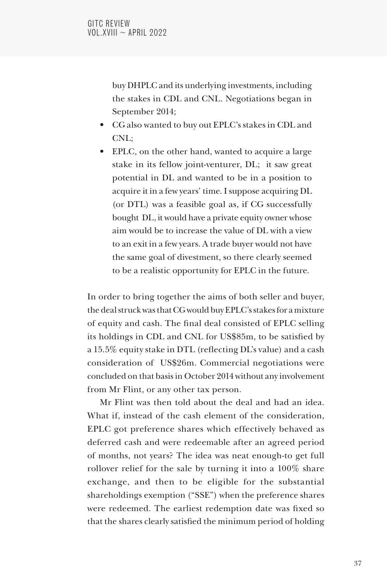buy DHPLC and its underlying investments, including the stakes in CDL and CNL. Negotiations began in September 2014;

- CG also wanted to buy out EPLC's stakes in CDL and CNL;
- EPLC, on the other hand, wanted to acquire a large stake in its fellow joint-venturer, DL; it saw great potential in DL and wanted to be in a position to acquire it in a few years' time. I suppose acquiring DL (or DTL) was a feasible goal as, if CG successfully bought DL, it would have a private equity owner whose aim would be to increase the value of DL with a view to an exit in a few years. A trade buyer would not have the same goal of divestment, so there clearly seemed to be a realistic opportunity for EPLC in the future.

In order to bring together the aims of both seller and buyer, the deal struck was that CG would buy EPLC's stakes for a mixture of equity and cash. The final deal consisted of EPLC selling its holdings in CDL and CNL for US\$85m, to be satisfied by a 15.5% equity stake in DTL (reflecting DL's value) and a cash consideration of US\$26m. Commercial negotiations were concluded on that basis in October 2014 without any involvement from Mr Flint, or any other tax person.

Mr Flint was then told about the deal and had an idea. What if, instead of the cash element of the consideration, EPLC got preference shares which effectively behaved as deferred cash and were redeemable after an agreed period of months, not years? The idea was neat enough-to get full rollover relief for the sale by turning it into a 100% share exchange, and then to be eligible for the substantial shareholdings exemption ("SSE") when the preference shares were redeemed. The earliest redemption date was fixed so that the shares clearly satisfied the minimum period of holding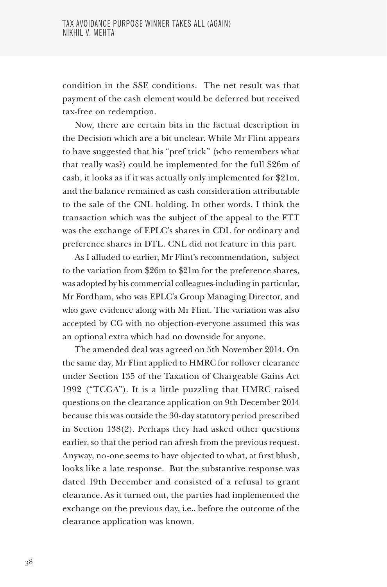condition in the SSE conditions. The net result was that payment of the cash element would be deferred but received tax-free on redemption.

Now, there are certain bits in the factual description in the Decision which are a bit unclear. While Mr Flint appears to have suggested that his "pref trick" (who remembers what that really was?) could be implemented for the full \$26m of cash, it looks as if it was actually only implemented for \$21m, and the balance remained as cash consideration attributable to the sale of the CNL holding. In other words, I think the transaction which was the subject of the appeal to the FTT was the exchange of EPLC's shares in CDL for ordinary and preference shares in DTL. CNL did not feature in this part.

As I alluded to earlier, Mr Flint's recommendation, subject to the variation from \$26m to \$21m for the preference shares, was adopted by his commercial colleagues-including in particular, Mr Fordham, who was EPLC's Group Managing Director, and who gave evidence along with Mr Flint. The variation was also accepted by CG with no objection-everyone assumed this was an optional extra which had no downside for anyone.

The amended deal was agreed on 5th November 2014. On the same day, Mr Flint applied to HMRC for rollover clearance under Section 135 of the Taxation of Chargeable Gains Act 1992 ("TCGA"). It is a little puzzling that HMRC raised questions on the clearance application on 9th December 2014 because this was outside the 30-day statutory period prescribed in Section 138(2). Perhaps they had asked other questions earlier, so that the period ran afresh from the previous request. Anyway, no-one seems to have objected to what, at first blush, looks like a late response. But the substantive response was dated 19th December and consisted of a refusal to grant clearance. As it turned out, the parties had implemented the exchange on the previous day, i.e., before the outcome of the clearance application was known.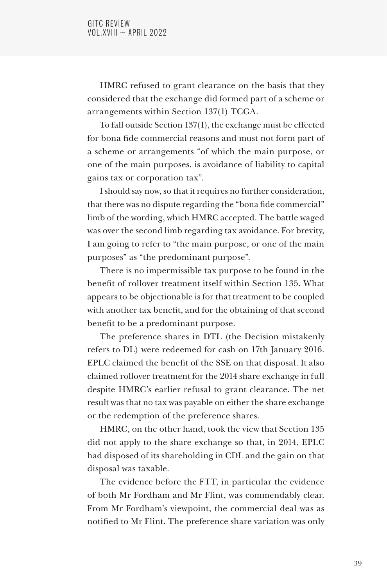HMRC refused to grant clearance on the basis that they considered that the exchange did formed part of a scheme or arrangements within Section 137(1) TCGA.

To fall outside Section 137(1), the exchange must be effected for bona fide commercial reasons and must not form part of a scheme or arrangements "of which the main purpose, or one of the main purposes, is avoidance of liability to capital gains tax or corporation tax".

I should say now, so that it requires no further consideration, that there was no dispute regarding the "bona fide commercial" limb of the wording, which HMRC accepted. The battle waged was over the second limb regarding tax avoidance. For brevity, I am going to refer to "the main purpose, or one of the main purposes" as "the predominant purpose".

There is no impermissible tax purpose to be found in the benefit of rollover treatment itself within Section 135. What appears to be objectionable is for that treatment to be coupled with another tax benefit, and for the obtaining of that second benefit to be a predominant purpose.

The preference shares in DTL (the Decision mistakenly refers to DL) were redeemed for cash on 17th January 2016. EPLC claimed the benefit of the SSE on that disposal. It also claimed rollover treatment for the 2014 share exchange in full despite HMRC's earlier refusal to grant clearance. The net result was that no tax was payable on either the share exchange or the redemption of the preference shares.

HMRC, on the other hand, took the view that Section 135 did not apply to the share exchange so that, in 2014, EPLC had disposed of its shareholding in CDL and the gain on that disposal was taxable.

The evidence before the FTT, in particular the evidence of both Mr Fordham and Mr Flint, was commendably clear. From Mr Fordham's viewpoint, the commercial deal was as notified to Mr Flint. The preference share variation was only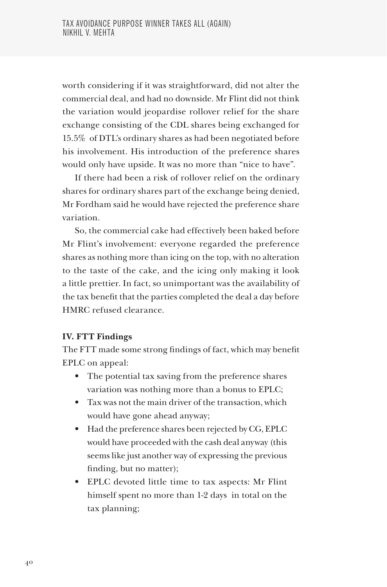worth considering if it was straightforward, did not alter the commercial deal, and had no downside. Mr Flint did not think the variation would jeopardise rollover relief for the share exchange consisting of the CDL shares being exchanged for 15.5% of DTL's ordinary shares as had been negotiated before his involvement. His introduction of the preference shares would only have upside. It was no more than "nice to have".

If there had been a risk of rollover relief on the ordinary shares for ordinary shares part of the exchange being denied, Mr Fordham said he would have rejected the preference share variation.

So, the commercial cake had effectively been baked before Mr Flint's involvement: everyone regarded the preference shares as nothing more than icing on the top, with no alteration to the taste of the cake, and the icing only making it look a little prettier. In fact, so unimportant was the availability of the tax benefit that the parties completed the deal a day before HMRC refused clearance.

### **IV. FTT Findings**

The FTT made some strong findings of fact, which may benefit EPLC on appeal:

- The potential tax saving from the preference shares variation was nothing more than a bonus to EPLC;
- Tax was not the main driver of the transaction, which would have gone ahead anyway;
- Had the preference shares been rejected by CG, EPLC would have proceeded with the cash deal anyway (this seems like just another way of expressing the previous finding, but no matter);
- EPLC devoted little time to tax aspects: Mr Flint himself spent no more than 1-2 days in total on the tax planning;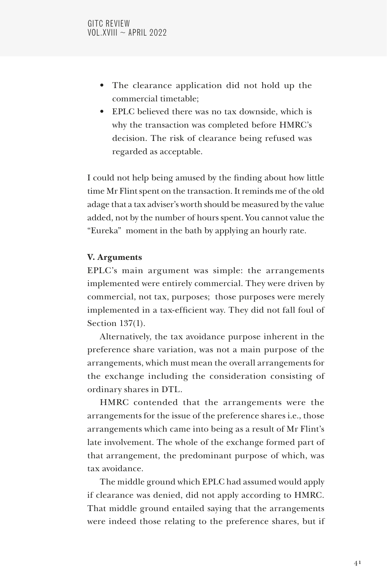- The clearance application did not hold up the commercial timetable;
- EPLC believed there was no tax downside, which is why the transaction was completed before HMRC's decision. The risk of clearance being refused was regarded as acceptable.

I could not help being amused by the finding about how little time Mr Flint spent on the transaction. It reminds me of the old adage that a tax adviser's worth should be measured by the value added, not by the number of hours spent. You cannot value the "Eureka" moment in the bath by applying an hourly rate.

## **V. Arguments**

EPLC's main argument was simple: the arrangements implemented were entirely commercial. They were driven by commercial, not tax, purposes; those purposes were merely implemented in a tax-efficient way. They did not fall foul of Section 137(1).

Alternatively, the tax avoidance purpose inherent in the preference share variation, was not a main purpose of the arrangements, which must mean the overall arrangements for the exchange including the consideration consisting of ordinary shares in DTL.

HMRC contended that the arrangements were the arrangements for the issue of the preference shares i.e., those arrangements which came into being as a result of Mr Flint's late involvement. The whole of the exchange formed part of that arrangement, the predominant purpose of which, was tax avoidance.

The middle ground which EPLC had assumed would apply if clearance was denied, did not apply according to HMRC. That middle ground entailed saying that the arrangements were indeed those relating to the preference shares, but if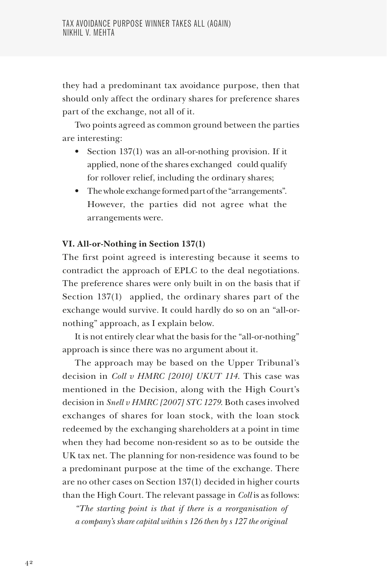they had a predominant tax avoidance purpose, then that should only affect the ordinary shares for preference shares part of the exchange, not all of it.

Two points agreed as common ground between the parties are interesting:

- Section 137(1) was an all-or-nothing provision. If it applied, none of the shares exchanged could qualify for rollover relief, including the ordinary shares;
- The whole exchange formed part of the "arrangements". However, the parties did not agree what the arrangements were.

#### **VI. All-or-Nothing in Section 137(1)**

The first point agreed is interesting because it seems to contradict the approach of EPLC to the deal negotiations. The preference shares were only built in on the basis that if Section 137(1) applied, the ordinary shares part of the exchange would survive. It could hardly do so on an "all-ornothing" approach, as I explain below.

It is not entirely clear what the basis for the "all-or-nothing" approach is since there was no argument about it.

The approach may be based on the Upper Tribunal's decision in *Coll v HMRC [2010] UKUT 114*. This case was mentioned in the Decision, along with the High Court's decision in *Snell v HMRC [2007] STC 1279*. Both cases involved exchanges of shares for loan stock, with the loan stock redeemed by the exchanging shareholders at a point in time when they had become non-resident so as to be outside the UK tax net. The planning for non-residence was found to be a predominant purpose at the time of the exchange. There are no other cases on Section 137(1) decided in higher courts than the High Court. The relevant passage in *Coll* is as follows:

*"The starting point is that if there is a reorganisation of a company's share capital within s 126 then by s 127 the original*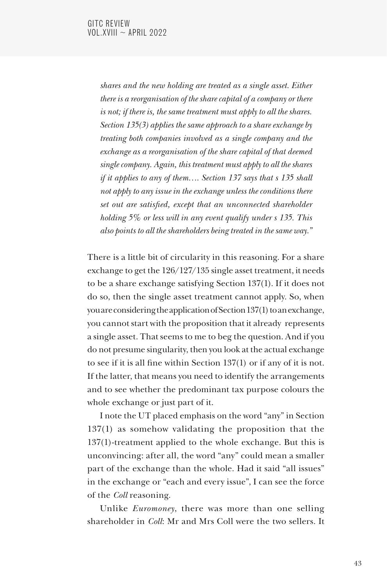*shares and the new holding are treated as a single asset. Either there is a reorganisation of the share capital of a company or there is not; if there is, the same treatment must apply to all the shares. Section 135(3) applies the same approach to a share exchange by treating both companies involved as a single company and the exchange as a reorganisation of the share capital of that deemed single company. Again, this treatment must apply to all the shares if it applies to any of them…. Section 137 says that s 135 shall not apply to any issue in the exchange unless the conditions there set out are satisfied, except that an unconnected shareholder holding 5% or less will in any event qualify under s 135. This also points to all the shareholders being treated in the same way."*

There is a little bit of circularity in this reasoning. For a share exchange to get the 126/127/135 single asset treatment, it needs to be a share exchange satisfying Section 137(1). If it does not do so, then the single asset treatment cannot apply. So, when you are considering the application of Section 137(1) to an exchange, you cannot start with the proposition that it already represents a single asset. That seems to me to beg the question. And if you do not presume singularity, then you look at the actual exchange to see if it is all fine within Section 137(1) or if any of it is not. If the latter, that means you need to identify the arrangements and to see whether the predominant tax purpose colours the whole exchange or just part of it.

I note the UT placed emphasis on the word "any" in Section 137(1) as somehow validating the proposition that the 137(1)-treatment applied to the whole exchange. But this is unconvincing: after all, the word "any" could mean a smaller part of the exchange than the whole. Had it said "all issues" in the exchange or "each and every issue", I can see the force of the *Coll* reasoning.

Unlike *Euromoney*, there was more than one selling shareholder in *Coll*: Mr and Mrs Coll were the two sellers. It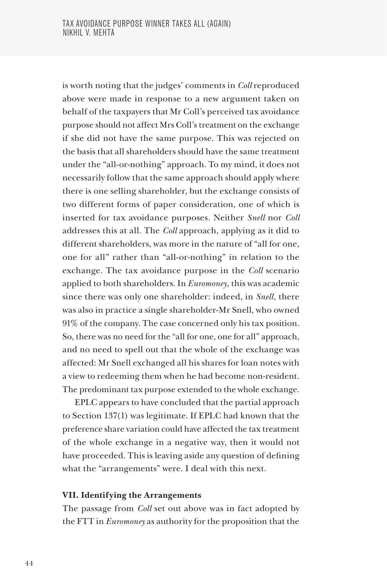is worth noting that the judges' comments in *Coll* reproduced above were made in response to a new argument taken on behalf of the taxpayers that Mr Coll's perceived tax avoidance purpose should not affect Mrs Coll's treatment on the exchange if she did not have the same purpose. This was rejected on the basis that all shareholders should have the same treatment under the "all-or-nothing" approach. To my mind, it does not necessarily follow that the same approach should apply where there is one selling shareholder, but the exchange consists of two different forms of paper consideration, one of which is inserted for tax avoidance purposes. Neither *Snell* nor *Coll* addresses this at all. The *Coll* approach, applying as it did to different shareholders, was more in the nature of "all for one, one for all" rather than "all-or-nothing" in relation to the exchange. The tax avoidance purpose in the *Coll* scenario applied to both shareholders. In *Euromoney*, this was academic since there was only one shareholder: indeed, in *Snell*, there was also in practice a single shareholder-Mr Snell, who owned 91% of the company. The case concerned only his tax position. So, there was no need for the "all for one, one for all" approach, and no need to spell out that the whole of the exchange was affected: Mr Snell exchanged all his shares for loan notes with a view to redeeming them when he had become non-resident. The predominant tax purpose extended to the whole exchange.

EPLC appears to have concluded that the partial approach to Section 137(1) was legitimate. If EPLC had known that the preference share variation could have affected the tax treatment of the whole exchange in a negative way, then it would not have proceeded. This is leaving aside any question of defining what the "arrangements" were. I deal with this next.

#### **VII. Identifying the Arrangements**

The passage from *Coll* set out above was in fact adopted by the FTT in *Euromoney* as authority for the proposition that the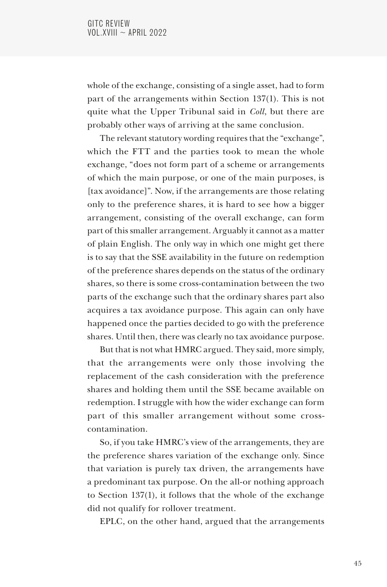whole of the exchange, consisting of a single asset, had to form part of the arrangements within Section 137(1). This is not quite what the Upper Tribunal said in *Coll*, but there are probably other ways of arriving at the same conclusion.

The relevant statutory wording requires that the "exchange", which the FTT and the parties took to mean the whole exchange, "does not form part of a scheme or arrangements of which the main purpose, or one of the main purposes, is [tax avoidance]". Now, if the arrangements are those relating only to the preference shares, it is hard to see how a bigger arrangement, consisting of the overall exchange, can form part of this smaller arrangement. Arguably it cannot as a matter of plain English. The only way in which one might get there is to say that the SSE availability in the future on redemption of the preference shares depends on the status of the ordinary shares, so there is some cross-contamination between the two parts of the exchange such that the ordinary shares part also acquires a tax avoidance purpose. This again can only have happened once the parties decided to go with the preference shares. Until then, there was clearly no tax avoidance purpose.

But that is not what HMRC argued. They said, more simply, that the arrangements were only those involving the replacement of the cash consideration with the preference shares and holding them until the SSE became available on redemption. I struggle with how the wider exchange can form part of this smaller arrangement without some crosscontamination.

So, if you take HMRC's view of the arrangements, they are the preference shares variation of the exchange only. Since that variation is purely tax driven, the arrangements have a predominant tax purpose. On the all-or nothing approach to Section 137(1), it follows that the whole of the exchange did not qualify for rollover treatment.

EPLC, on the other hand, argued that the arrangements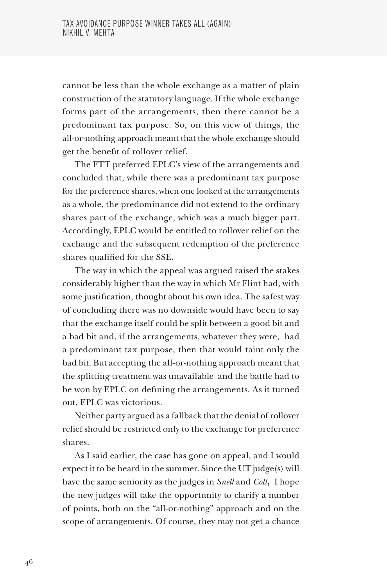cannot be less than the whole exchange as a matter of plain construction of the statutory language. If the whole exchange forms part of the arrangements, then there cannot be a predominant tax purpose. So, on this view of things, the all-or-nothing approach meant that the whole exchange should get the benefit of rollover relief.

The FTT preferred EPLC's view of the arrangements and concluded that, while there was a predominant tax purpose for the preference shares, when one looked at the arrangements as a whole, the predominance did not extend to the ordinary shares part of the exchange, which was a much bigger part. Accordingly, EPLC would be entitled to rollover relief on the exchange and the subsequent redemption of the preference shares qualified for the SSE.

The way in which the appeal was argued raised the stakes considerably higher than the way in which Mr Flint had, with some justification, thought about his own idea. The safest way of concluding there was no downside would have been to say that the exchange itself could be split between a good bit and a bad bit and, if the arrangements, whatever they were, had a predominant tax purpose, then that would taint only the bad bit. But accepting the all-or-nothing approach meant that the splitting treatment was unavailable and the battle had to be won by EPLC on defining the arrangements. As it turned out, EPLC was victorious.

Neither party argued as a fallback that the denial of rollover relief should be restricted only to the exchange for preference shares.

As I said earlier, the case has gone on appeal, and I would expect it to be heard in the summer. Since the UT judge(s) will have the same seniority as the judges in *Snell* and *Coll***,** I hope the new judges will take the opportunity to clarify a number of points, both on the "all-or-nothing" approach and on the scope of arrangements. Of course, they may not get a chance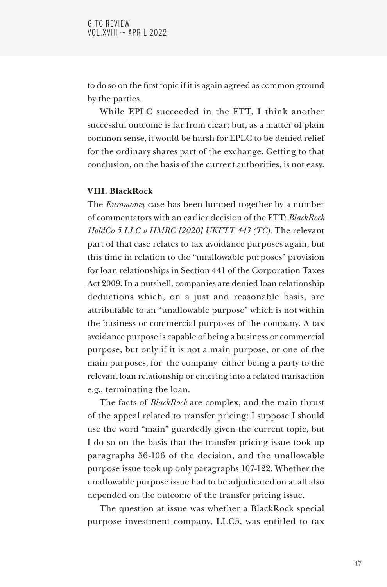to do so on the first topic if it is again agreed as common ground by the parties.

While EPLC succeeded in the FTT, I think another successful outcome is far from clear; but, as a matter of plain common sense, it would be harsh for EPLC to be denied relief for the ordinary shares part of the exchange. Getting to that conclusion, on the basis of the current authorities, is not easy.

#### **VIII. BlackRock**

The *Euromoney* case has been lumped together by a number of commentators with an earlier decision of the FTT: *BlackRock HoldCo 5 LLC v HMRC [2020] UKFTT 443 (TC)*. The relevant part of that case relates to tax avoidance purposes again, but this time in relation to the "unallowable purposes" provision for loan relationships in Section 441 of the Corporation Taxes Act 2009. In a nutshell, companies are denied loan relationship deductions which, on a just and reasonable basis, are attributable to an "unallowable purpose" which is not within the business or commercial purposes of the company. A tax avoidance purpose is capable of being a business or commercial purpose, but only if it is not a main purpose, or one of the main purposes, for the company either being a party to the relevant loan relationship or entering into a related transaction e.g., terminating the loan.

The facts of *BlackRock* are complex, and the main thrust of the appeal related to transfer pricing: I suppose I should use the word "main" guardedly given the current topic, but I do so on the basis that the transfer pricing issue took up paragraphs 56-106 of the decision, and the unallowable purpose issue took up only paragraphs 107-122. Whether the unallowable purpose issue had to be adjudicated on at all also depended on the outcome of the transfer pricing issue.

The question at issue was whether a BlackRock special purpose investment company, LLC5, was entitled to tax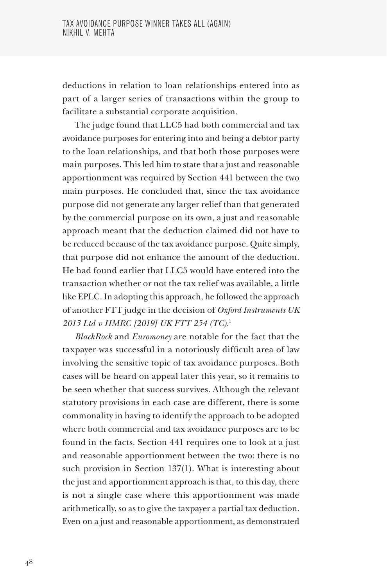deductions in relation to loan relationships entered into as part of a larger series of transactions within the group to facilitate a substantial corporate acquisition.

The judge found that LLC5 had both commercial and tax avoidance purposes for entering into and being a debtor party to the loan relationships, and that both those purposes were main purposes. This led him to state that a just and reasonable apportionment was required by Section 441 between the two main purposes. He concluded that, since the tax avoidance purpose did not generate any larger relief than that generated by the commercial purpose on its own, a just and reasonable approach meant that the deduction claimed did not have to be reduced because of the tax avoidance purpose. Quite simply, that purpose did not enhance the amount of the deduction. He had found earlier that LLC5 would have entered into the transaction whether or not the tax relief was available, a little like EPLC. In adopting this approach, he followed the approach of another FTT judge in the decision of *Oxford Instruments UK 2013 Ltd v HMRC [2019] UK FTT 254 (TC).*<sup>1</sup>

*BlackRock* and *Euromoney* are notable for the fact that the taxpayer was successful in a notoriously difficult area of law involving the sensitive topic of tax avoidance purposes. Both cases will be heard on appeal later this year, so it remains to be seen whether that success survives. Although the relevant statutory provisions in each case are different, there is some commonality in having to identify the approach to be adopted where both commercial and tax avoidance purposes are to be found in the facts. Section 441 requires one to look at a just and reasonable apportionment between the two: there is no such provision in Section 137(1). What is interesting about the just and apportionment approach is that, to this day, there is not a single case where this apportionment was made arithmetically, so as to give the taxpayer a partial tax deduction. Even on a just and reasonable apportionment, as demonstrated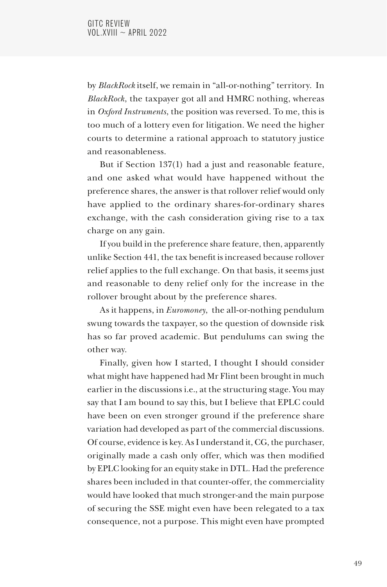by *BlackRock* itself, we remain in "all-or-nothing" territory. In *BlackRock*, the taxpayer got all and HMRC nothing, whereas in *Oxford Instruments*, the position was reversed. To me, this is too much of a lottery even for litigation. We need the higher courts to determine a rational approach to statutory justice and reasonableness.

But if Section 137(1) had a just and reasonable feature, and one asked what would have happened without the preference shares, the answer is that rollover relief would only have applied to the ordinary shares-for-ordinary shares exchange, with the cash consideration giving rise to a tax charge on any gain.

If you build in the preference share feature, then, apparently unlike Section 441, the tax benefit is increased because rollover relief applies to the full exchange. On that basis, it seems just and reasonable to deny relief only for the increase in the rollover brought about by the preference shares.

As it happens, in *Euromoney*, the all-or-nothing pendulum swung towards the taxpayer, so the question of downside risk has so far proved academic. But pendulums can swing the other way.

Finally, given how I started, I thought I should consider what might have happened had Mr Flint been brought in much earlier in the discussions i.e., at the structuring stage. You may say that I am bound to say this, but I believe that EPLC could have been on even stronger ground if the preference share variation had developed as part of the commercial discussions. Of course, evidence is key. As I understand it, CG, the purchaser, originally made a cash only offer, which was then modified by EPLC looking for an equity stake in DTL. Had the preference shares been included in that counter-offer, the commerciality would have looked that much stronger-and the main purpose of securing the SSE might even have been relegated to a tax consequence, not a purpose. This might even have prompted